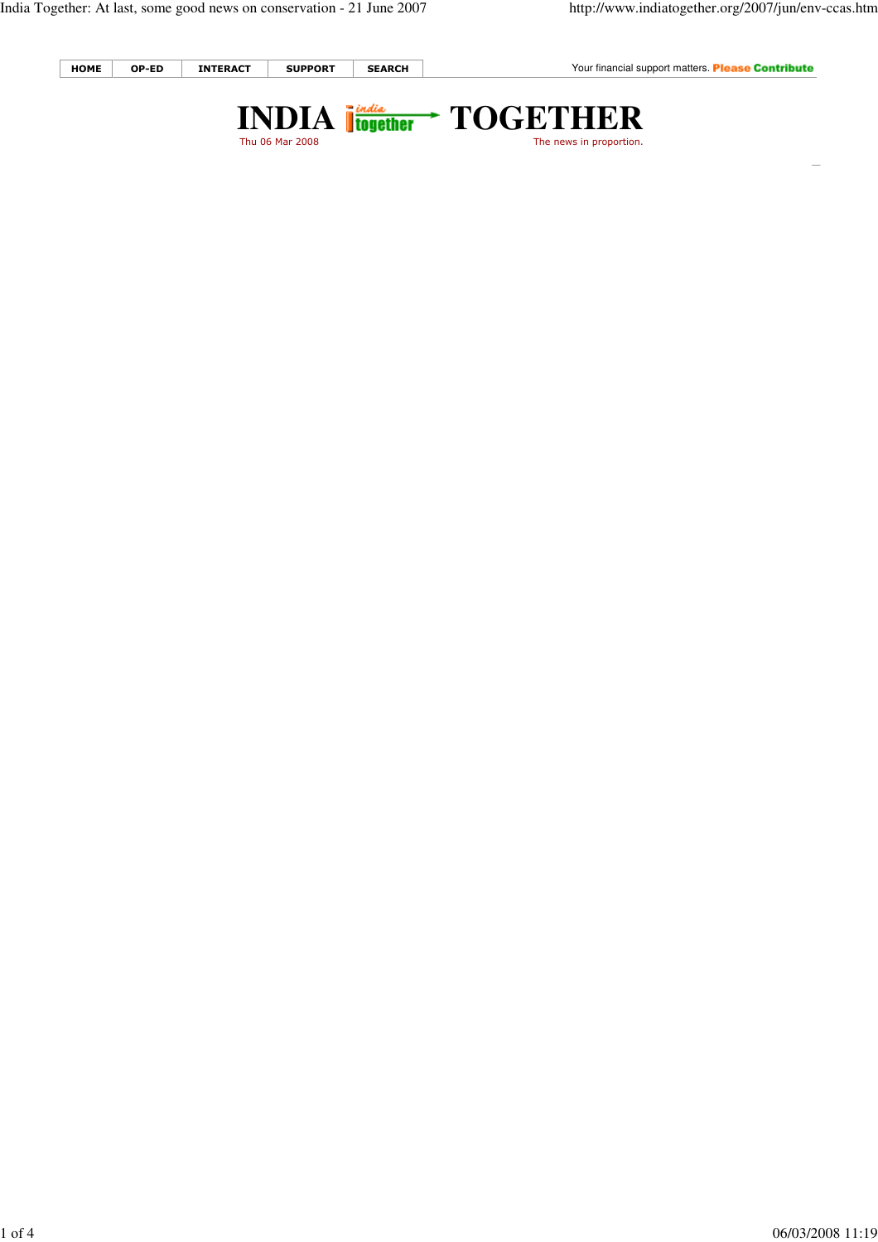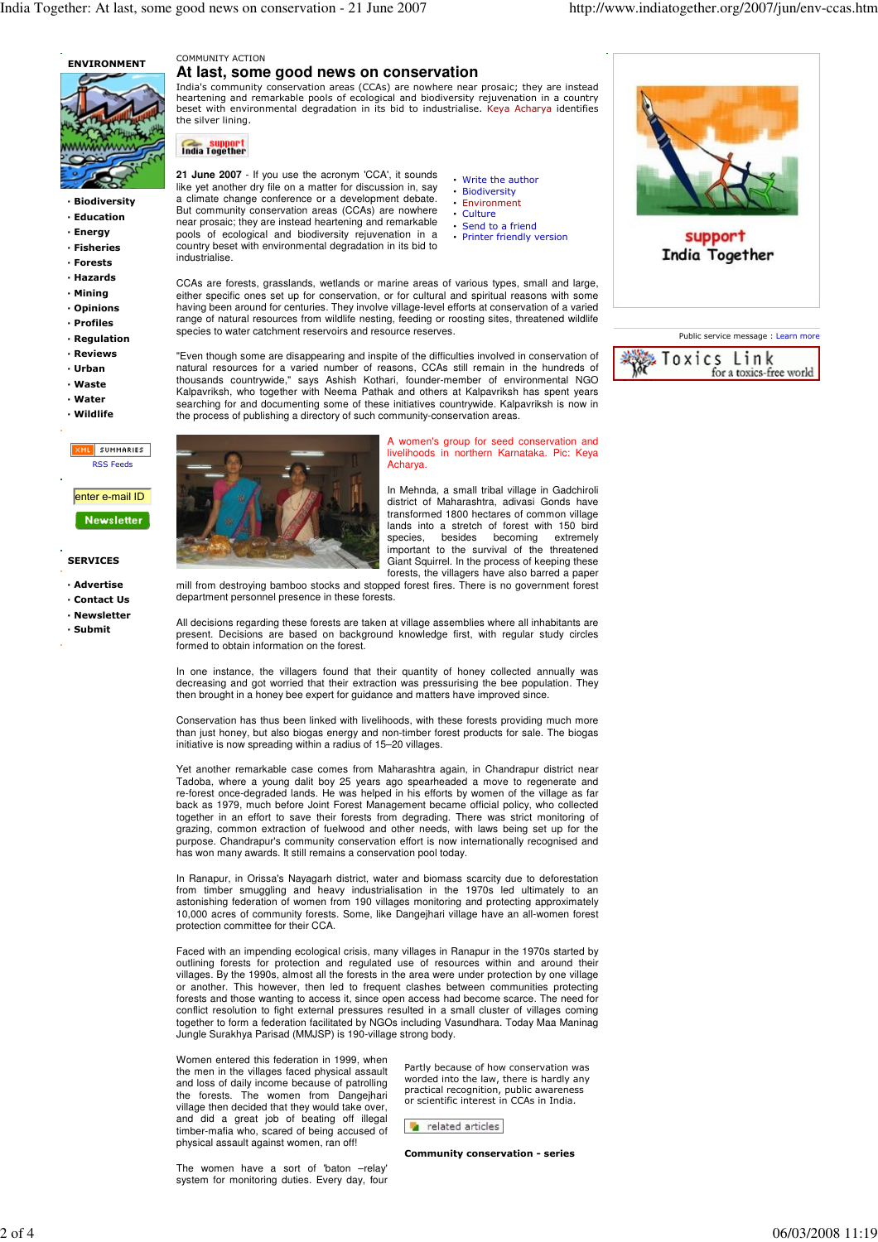

- · Biodiversity · Education
- · Energy
- · Fisheries
- · Forests
- · Hazards
- · Mining
- · Opinions
- · Profiles
- · Regulation
- · Reviews
- · Urban
- 
- · Waste · Water
- 
- **Wildlife**
- IML SUMMARIES RSS Feeds enter e-mail ID

## **Newsletter**

## SERVICES

- · Advertise
- · Contact Us
- · Newsletter
- · Submit

## COMMUNITY ACTION **At last, some good news on conservation**

India's community conservation areas (CCAs) are nowhere near prosaic; they are instead heartening and remarkable pools of ecological and biodiversity rejuvenation in a country beset with environmental degradation in its bid to industrialise. Keya Acharya identifies the silver lining.

support<br>India Together

**21 June 2007** - If you use the acronym 'CCA', it sounds like yet another dry file on a matter for discussion in, say a climate change conference or a development debate. But community conservation areas (CCAs) are nowhere near prosaic; they are instead heartening and remarkable pools of ecological and biodiversity rejuvenation in a country beset with environmental degradation in its bid to industrialise.

- Write the author **Biodiversity** • Environment
- Culture
- Send to a friend • Printer friendly version

CCAs are forests, grasslands, wetlands or marine areas of various types, small and large, either specific ones set up for conservation, or for cultural and spiritual reasons with some having been around for centuries. They involve village-level efforts at conservation of a varied range of natural resources from wildlife nesting, feeding or roosting sites, threatened wildlife species to water catchment reservoirs and resource reserves.

"Even though some are disappearing and inspite of the difficulties involved in conservation of natural resources for a varied number of reasons, CCAs still remain in the hundreds of thousands countrywide," says Ashish Kothari, founder-member of environmental NGO Kalpavriksh, who together with Neema Pathak and others at Kalpavriksh has spent years searching for and documenting some of these initiatives countrywide. Kalpavriksh is now in the process of publishing a directory of such community-conservation areas.



women's group for seed conservation and livelihoods in northern Karnataka. Pic: Keya Acharya.

In Mehnda, a small tribal village in Gadchiroli district of Maharashtra, adivasi Gonds have transformed 1800 hectares of common village lands into a stretch of forest with 150 bird<br>species, besides becoming extremely becoming important to the survival of the threatened Giant Squirrel. In the process of keeping these forests, the villagers have also barred a paper

mill from destroying bamboo stocks and stopped forest fires. There is no government forest department personnel presence in these forests.

All decisions regarding these forests are taken at village assemblies where all inhabitants are present. Decisions are based on background knowledge first, with regular study circles formed to obtain information on the forest.

In one instance, the villagers found that their quantity of honey collected annually was decreasing and got worried that their extraction was pressurising the bee population. They then brought in a honey bee expert for guidance and matters have improved since.

Conservation has thus been linked with livelihoods, with these forests providing much more than just honey, but also biogas energy and non-timber forest products for sale. The biogas initiative is now spreading within a radius of 15–20 villages.

Yet another remarkable case comes from Maharashtra again, in Chandrapur district near Tadoba, where a young dalit boy 25 years ago spearheaded a move to regenerate and re-forest once-degraded lands. He was helped in his efforts by women of the village as far back as 1979, much before Joint Forest Management became official policy, who collected together in an effort to save their forests from degrading. There was strict monitoring of grazing, common extraction of fuelwood and other needs, with laws being set up for the purpose. Chandrapur's community conservation effort is now internationally recognised and has won many awards. It still remains a conservation pool today.

In Ranapur, in Orissa's Nayagarh district, water and biomass scarcity due to deforestation from timber smuggling and heavy industrialisation in the 1970s led ultimately to an astonishing federation of women from 190 villages monitoring and protecting approximately 10,000 acres of community forests. Some, like Dangejhari village have an all-women forest protection committee for their CCA.

Faced with an impending ecological crisis, many villages in Ranapur in the 1970s started by outlining forests for protection and regulated use of resources within and around their villages. By the 1990s, almost all the forests in the area were under protection by one village or another. This however, then led to frequent clashes between communities protecting forests and those wanting to access it, since open access had become scarce. The need for conflict resolution to fight external pressures resulted in a small cluster of villages coming together to form a federation facilitated by NGOs including Vasundhara. Today Maa Maninag Jungle Surakhya Parisad (MMJSP) is 190-village strong body.

Women entered this federation in 1999, when the men in the villages faced physical assault and loss of daily income because of patrolling the forests. The women from Dangejhari village then decided that they would take over, and did a great job of beating off illegal timber-mafia who, scared of being accused of physical assault against women, ran off!

Partly because of how conservation was worded into the law, there is hardly any practical recognition, public awareness or scientific interest in CCAs in India.

related articles

Community conservation - series

The women have a sort of 'baton –relay' system for monitoring duties. Every day, four



India Together

| Public service message : Learn more      |
|------------------------------------------|
| & Toxics Link<br>for a toxics-free world |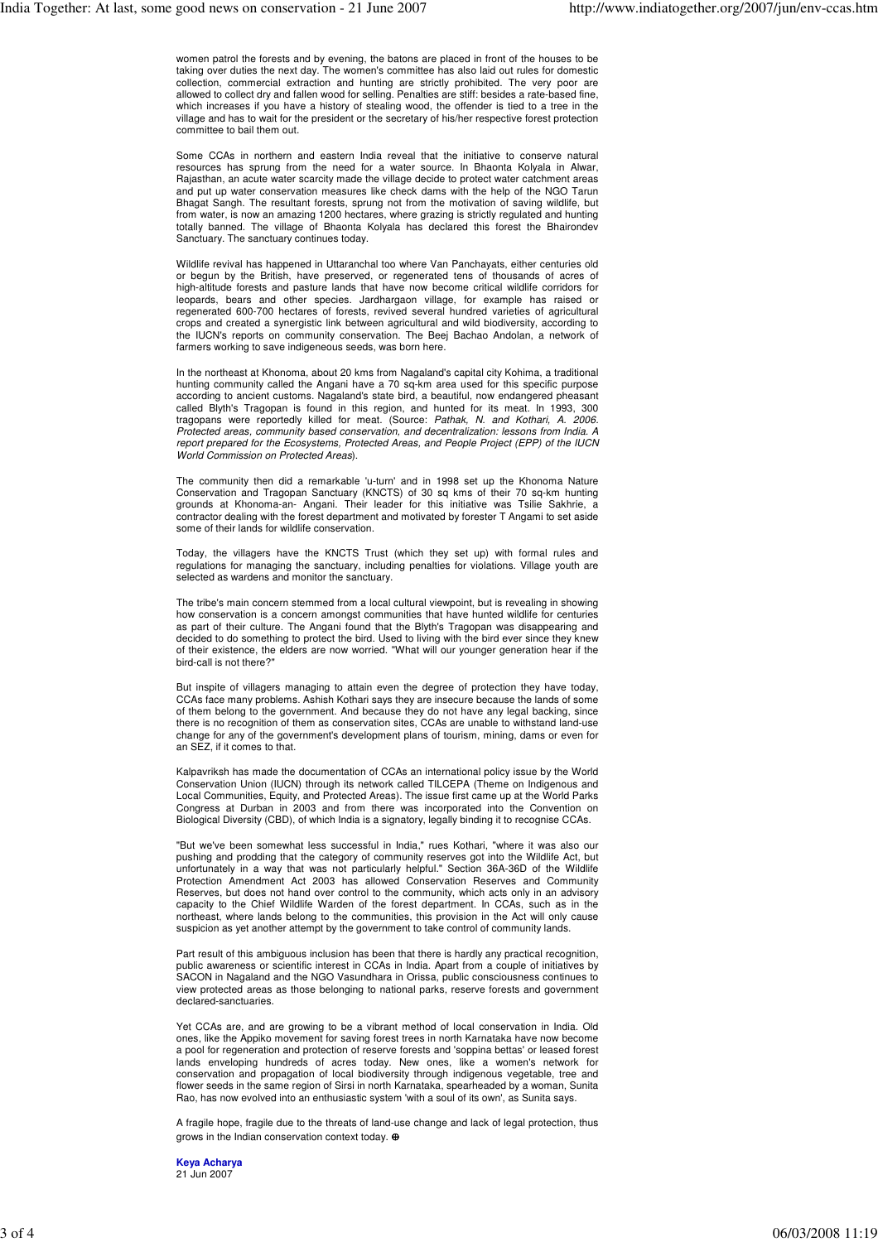women patrol the forests and by evening, the batons are placed in front of the houses to be taking over duties the next day. The women's committee has also laid out rules for domestic collection, commercial extraction and hunting are strictly prohibited. The very poor are allowed to collect dry and fallen wood for selling. Penalties are stiff: besides a rate-based fine, which increases if you have a history of stealing wood, the offender is tied to a tree in the village and has to wait for the president or the secretary of his/her respective forest protection committee to bail them out.

Some CCAs in northern and eastern India reveal that the initiative to conserve natural resources has sprung from the need for a water source. In Bhaonta Kolyala in Alwar, Rajasthan, an acute water scarcity made the village decide to protect water catchment areas and put up water conservation measures like check dams with the help of the NGO Tarun Bhagat Sangh. The resultant forests, sprung not from the motivation of saving wildlife, but from water, is now an amazing 1200 hectares, where grazing is strictly regulated and hunting totally banned. The village of Bhaonta Kolyala has declared this forest the Bhairondev Sanctuary. The sanctuary continues today.

Wildlife revival has happened in Uttaranchal too where Van Panchayats, either centuries old or begun by the British, have preserved, or regenerated tens of thousands of acres of high-altitude forests and pasture lands that have now become critical wildlife corridors for leopards, bears and other species. Jardhargaon village, for example has raised or regenerated 600-700 hectares of forests, revived several hundred varieties of agricultural crops and created a synergistic link between agricultural and wild biodiversity, according to the IUCN's reports on community conservation. The Beej Bachao Andolan, a network of farmers working to save indigeneous seeds, was born here.

In the northeast at Khonoma, about 20 kms from Nagaland's capital city Kohima, a traditional hunting community called the Angani have a 70 sq-km area used for this specific purpose according to ancient customs. Nagaland's state bird, a beautiful, now endangered pheasant called Blyth's Tragopan is found in this region, and hunted for its meat. In 1993, 300 tragopans were reportedly killed for meat. (Source: Pathak, N. and Kothari, A. 2006. Protected areas, community based conservation, and decentralization: lessons from India. A report prepared for the Ecosystems, Protected Areas, and People Project (EPP) of the IUCN World Commission on Protected Areas).

The community then did a remarkable 'u-turn' and in 1998 set up the Khonoma Nature Conservation and Tragopan Sanctuary (KNCTS) of 30 sq kms of their 70 sq-km hunting grounds at Khonoma-an- Angani. Their leader for this initiative was Tsilie Sakhrie, a contractor dealing with the forest department and motivated by forester T Angami to set aside some of their lands for wildlife conservation.

Today, the villagers have the KNCTS Trust (which they set up) with formal rules and regulations for managing the sanctuary, including penalties for violations. Village youth are selected as wardens and monitor the sanctuary.

The tribe's main concern stemmed from a local cultural viewpoint, but is revealing in showing how conservation is a concern amongst communities that have hunted wildlife for centuries as part of their culture. The Angani found that the Blyth's Tragopan was disappearing and decided to do something to protect the bird. Used to living with the bird ever since they knew of their existence, the elders are now worried. "What will our younger generation hear if the bird-call is not there?

But inspite of villagers managing to attain even the degree of protection they have today, CCAs face many problems. Ashish Kothari says they are insecure because the lands of some of them belong to the government. And because they do not have any legal backing, since there is no recognition of them as conservation sites, CCAs are unable to withstand land-use change for any of the government's development plans of tourism, mining, dams or even for an SEZ, if it comes to that.

Kalpavriksh has made the documentation of CCAs an international policy issue by the World Conservation Union (IUCN) through its network called TILCEPA (Theme on Indigenous and Local Communities, Equity, and Protected Areas). The issue first came up at the World Parks Congress at Durban in 2003 and from there was incorporated into the Convention on Biological Diversity (CBD), of which India is a signatory, legally binding it to recognise CCAs.

"But we've been somewhat less successful in India," rues Kothari, "where it was also our pushing and prodding that the category of community reserves got into the Wildlife Act, but unfortunately in a way that was not particularly helpful." Section 36A-36D of the Wildlife Protection Amendment Act 2003 has allowed Conservation Reserves and Community Reserves, but does not hand over control to the community, which acts only in an advisory capacity to the Chief Wildlife Warden of the forest department. In CCAs, such as in the northeast, where lands belong to the communities, this provision in the Act will only cause suspicion as yet another attempt by the government to take control of community lands.

Part result of this ambiguous inclusion has been that there is hardly any practical recognition, public awareness or scientific interest in CCAs in India. Apart from a couple of initiatives by SACON in Nagaland and the NGO Vasundhara in Orissa, public consciousness continues to view protected areas as those belonging to national parks, reserve forests and government declared-sanctuaries.

Yet CCAs are, and are growing to be a vibrant method of local conservation in India. Old ones, like the Appiko movement for saving forest trees in north Karnataka have now become a pool for regeneration and protection of reserve forests and 'soppina bettas' or leased forest lands enveloping hundreds of acres today. New ones, like a women's network for conservation and propagation of local biodiversity through indigenous vegetable, tree and flower seeds in the same region of Sirsi in north Karnataka, spearheaded by a woman, Sunita Rao, has now evolved into an enthusiastic system 'with a soul of its own', as Sunita says.

A fragile hope, fragile due to the threats of land-use change and lack of legal protection, thus grows in the Indian conservation context today. ⊕